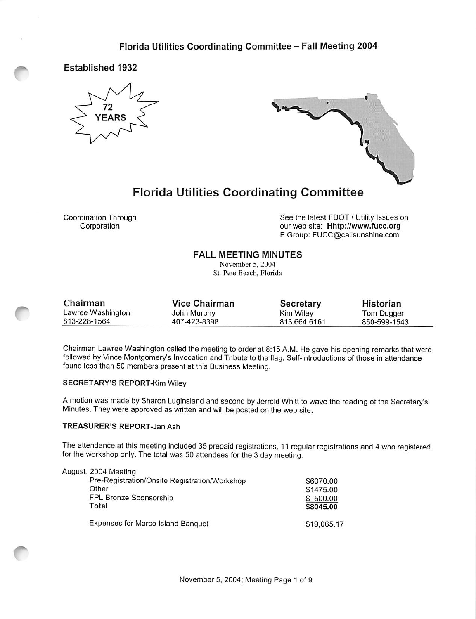

Established 1932



# Florida Utilities Coordinating Committee

Coordination Through Corporation

See the latest FOOT / Utility Issues on our web site: Hhtp://www.fucc.org E Group; FUCC@callsunshine.com

### FALL MEETING MINUTES

November 5,2004 St. Pete Beach, Florida

| Chairman          | <b>Vice Chairman</b> | <b>Secretary</b> | Historian    |
|-------------------|----------------------|------------------|--------------|
| Lawree Washington | John Murphy          | Kim Wiley        | Tom Dugger   |
| 813-228-1564      | 407-423-8398         | 813.664.6161     | 850-599-1543 |

Chairman Lawree Washington called the meeting to order at 8:15 A.M. He gave his opening remarks that were followed by Vince Montgomery's Invocation and Tribute to the flag. Self-introductions of those in attendance found less than 50 members present at this Business Meeting.

#### SECRETARY'S REPORT-Kim Wiley

A motion was made by Sharon Luginsland and second by Jerrold Whitt to wave the reading of the Secretary's Minutes. They were approved as written and will be posted on the web site.

### TREASURER'S REPORT-Jan Ash

The attendance at this meeting included 35 prepaid registrations, 11 regular registrations and 4 who registered for the workshop only. The total was 50 attendees for the 3 day meeting.

| August, 2004 Meeting                          |             |
|-----------------------------------------------|-------------|
| Pre-Registration/Onsite Registration/Workshop | \$6070.00   |
| Other                                         | \$1475.00   |
| FPL Bronze Sponsorship                        | \$500.00    |
| Total                                         | \$8045.00   |
| Expenses for Marco Island Banquet             | \$19,065.17 |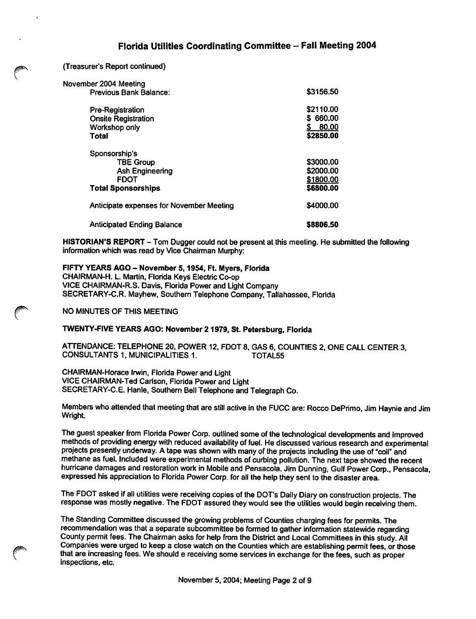(Treasurer's Report continued)

| November 2004 Meeting                           |              |  |
|-------------------------------------------------|--------------|--|
| Previous Bank Balance:                          | \$3156.50    |  |
| Pre-Registration                                | \$2110.00    |  |
| <b>Onsite Registration</b>                      | 660.00<br>S. |  |
| Workshop only                                   | 80.00        |  |
| Total                                           | \$2850.00    |  |
| Sponsorship's                                   |              |  |
| <b>TBE Group</b>                                | \$3000.00    |  |
| <b>Ash Engineering</b>                          | \$2000.00    |  |
| <b>FDOT</b>                                     | \$1800.00    |  |
| <b>Total Sponsorships</b>                       | \$6800.00    |  |
| <b>Anticipate expenses for November Meeting</b> | \$4000.00    |  |
| <b>Anticipated Ending Balance</b>               | \$8806.50    |  |

HISTORIAN'S REPORT - Tom Dugger could not be present at this meeting. He submitted the following information which was read by Vice Chairman Murphy:

### FIFTY YEARS AGO - November 5, 1954, Ft. Myers, Florida

CHAIRMAN-H. L. Martin, Florida Keys Electric Co-op VICE CHAIRMAN-R.S. Davis, Florida Power and Light Company SECRETARY-C.R. Mayhew, Southern Telephone Company, Tallahassee, Florida

NO MINUTES OF THIS MEETING

### TWENTY-FIVE YEARS AGO: November 2 1979, St. Petersburg, Florida

ATTENDANCE: TELEPHONE 20, POWER 12, FDOT 8, GAS 6, COUNTIES 2, ONE CALL CENTER 3. CONSULTANTS 1, MUNICIPALITIES 1.

CHAIRMAN-Horace Irwin, Florida Power and Light VICE CHAIRMAN-Ted Carlson, Florida Power and Light SECRETARY-C.E. Hanle, Southern Bell Telephone and Telegraph Co.

Members who attended that meeting that are still active in the FUCC are: Rocco DePrimo, Jim Haynie and Jim Wright.

The guest speaker from Florida Power Corp. outlined some of the technological developments and improved methods of providing energy with reduced availability of fuel. He discussed various research and experimental projects presently undenvay. A tape was shown with many of the projects including the use of "coil" and methane as fuel. Included were experimental methods of curbing pollution. The next tape showed the recent hurricane damages and restoration work in Mobile and Pensacola. Jim Dunning, Gulf Power Corp., Pensacola, expressed his appreciation to Florida Power Corp. for all the help they sent to the disaster area.

The FDOT asked if all utilities were receiving copies of the DOT'S Daily Diary on construction projects. The response was mostly negative. The FDOT assured they would see the utilities would begin receiving them.

The Standing Committee discussed the growing problems of Counties charging fees for permits. The recommendation was that a separate subcommittee be formed to gather information statewide regarding County permit fees. The Chairman asks for help from the District and Local Committees in this study. All Companies were urged to keep a close watch on the Counties which are establishing permit fees, or those that are increasing fees. We should e receiving some services in exchange for the fees, such as proper inspections, etc.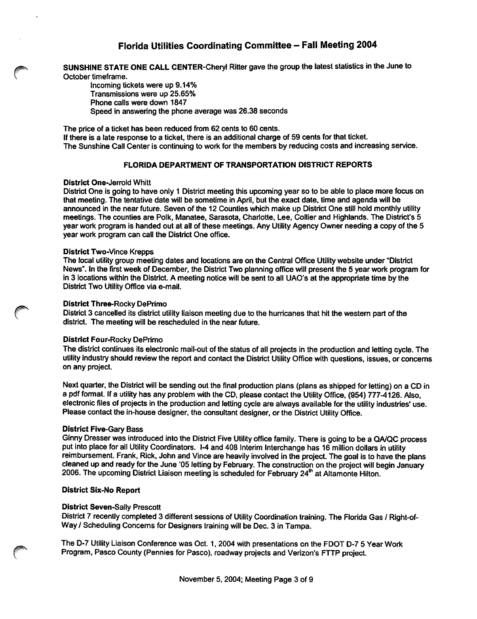SUNSHINE STATE ONE CALL CENTER-Cheryl Ritter gave the group the latest statistics in the June to October timeframe.

Incoming tickets were up 9.14% Transmissions were up 25.65% Phone calls were down 1847 Speed in answering the phone average was 26.38 seconds

The price of a ticket has been reduced from 62 cents to 60 cents. If there is a late response to a ticket, there is an additional charge of 59 cents for that ticket. The Sunshine Call Center is continuing to work for the members by reducing costs and increasing service.

#### FLORIDA DEPARTMENT OF TRANSPORTATION DISTRICT REPORTS

#### District One-Jerrold Whitt

District One is going to have only 1 District meeting this upcoming year so to be able to place more focus on that meeting. The tentative date will be sometime in April, but the exact date, time and agenda will be announced In the near future. Seven of the 12 Counties which make up District One still hold monthly utility meetings. The counties are Polk, Manatee, Sarasota, Charlotte, Lee, Collier and Highlands. The District's 5 year work program is handed out at all of these meetings. Any Utility Agency Owner needing a copy of the 5 year work program can call the District One office.

#### District Two-Vince Krepps

The local utility group meeting dates and locations are on the Central Office Utility website under "District News'. In the first week of December, the District Two planning office will present the 5 year work program for in 3 locations within the District. A meeting notice will be sent to all UAO's at the appropriate time by the District Two Utility Office via e-mail.

#### District Three-Rocky DePrimo

District 3 cancelled its district utility liaison meeting due to the hurricanes that hit the western part of the district. The meeting will be rescheduled in the near future.

#### District Four-Rocky DePrimo

The district continues its electronic mail-out of the status of all projects in the production and letting cycle. The utility industry should review the report and contact the District Utility Office with questions, issues, or concems on any project.

Next quarter, the District will be sending out the final production plans (plans as shipped for letting) on a CD in a pdf format. If a utility has any problem with the CD, please contact the Utility Office, (954) 777-4126. Also, electronic files of projects in the production and letting cycle are always available for the utility industries' use. Please contact the in-house designer, the consultant designer, or the District Utility Office.

#### District Five-Gary Bass

Ginny Dresser was introduced into the District Five Utility office family. There is going to be a QA/QC process put into place for all Utility Coordinators. 1-4 and 408 Interim Interchange has 16 million dollars in utility reimbursement. Frank, Rick, John and Vince are heavily involved in the project. The goal is to have the plans cleaned up and ready for the June "05 letting by February. The construction on the project will begin January 2006. The upcoming District Liaison meeting is scheduled for February 24<sup>th</sup> at Altamonte Hilton.

#### District Six-No Report

#### District Seven-Sally Prescott

District 7 recently completed 3 different sessions of Utility Coordination training. The Florida Gas / Right-of-Way / Scheduling Concems for Designers training will be Dec. 3 in Tampa.

The D-7 Utility Liaison Conference was Oct. 1,2004 with presentations on the FDOT D-7 5 Year Work Program, Pasco County (Pennies for Pasco), roadway projects and Verizon's FTTP project.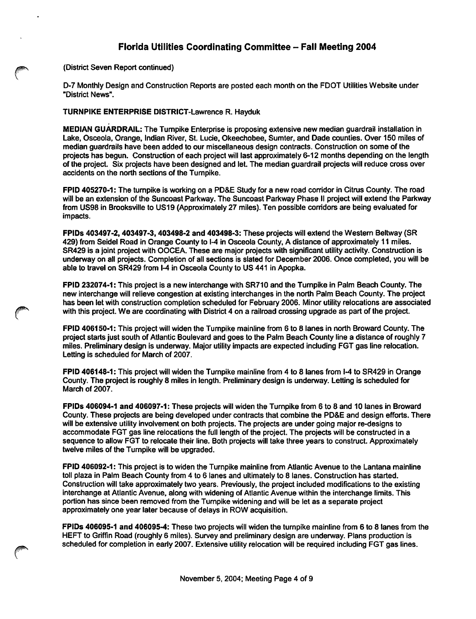(District Seven Report continued)

D-7 Monthly Design and Construction Reports are posted each month on the FDOT Utilities Website under "District News".

#### TURNPIKE ENTERPRISE DISTRICT-Lawrence R. Hayduk

MEDIAN GUARDRAIL: The Tumpike Enterprise is proposing extensive new median guardrail installation in Lake, Osceola, Orange, Indian River, St. Lucie, Okeechobee, Sumter, and Dade counties. Over 150 miles of median guardrails have been added to our miscellaneous design contracts. Construction on some of the projects has begun. Construction of each project will last approximately 6-12 months depending on the length of the project. Six projects have been designed and let. The median guardrail projects will reduce cross over accidents on the north sections of the Tumpike.

FPID 405270-1: The turnpike is working on a PD&E Study for a new road corridor in Citrus County. The road will be an extension of the Suncoast Parkway. The Suncoast Parkway Phase II project will extend the Parkway from US98 in Brooksville to US19 (Approximately 27 miles). Ten possible corridors are being evaluated for impacts.

FPIDs 403497-2,403497-3,403498-2 and 403498-3: These projects will extend the Western Beltway (SR 429) from Seidel Road in Orange County to 1-4 in Osceola County, A distance of approximately 11 miles. SR429 is a joint project with OOCEA. These are major projects with significant utility activity. Construction is underway on all projects. Completion of all sections is slated for December 2006. Once completed, you will be able to travel on SR429 from 1-4 in Osceola County to US 441 in Apopka.

FPID 232074-1: This project is a new interchange with SR710 and the Tumpike in Palm Beach County. The new interchange will relieve congestion at existing interchanges in the north Palm Beach County. The project has been let with construction completion scheduled for February 2006. Minor utility relocations are associated with this project. We are coordinating with District 4 on a railroad crossing upgrade as part of the project.

FPID 406150-1: This project will widen the Turnpike mainline from 6 to 8 lanes in north Broward County. The project starts just south of Atlantic Boulevard and goes to the Palm Beach County line a distance of roughly 7 miles. Preliminary design is underway. Major utility impacts are expected including FGT gas line relocation. Letting is scheduled for March of 2007.

FPID 406148-1: This project will widen the Tumpike mainline from 4 to 8 lanes from 1-4 to SR429 in Orange County. The project is roughly 8 miles in length. Preliminary design is underway. Letting is scheduled for March of 2007.

FPIDs 406094-1 and 406097-1: These projects will widen the Turnpike from 6 to 8 and 10 lanes in Broward County. These projects are being developed under contracts that combine the PD&E and design efforts. There will be extensive utility involvement on both projects. The projects are under going major re-designs to accommodate FGT gas line relocations the full length of the project. The projects will be constructed in a sequence to allow FGT to relocate their line. Both projects will take three years to construct. Approximately twelve miles of the Tumpike will be upgraded.

FPID 406092-1: This project is to widen the Turnpike mainline from Atlantic Avenue to the Lantana mainline toll plaza in Palm Beach County from 4 to 6 lanes and ultimately to 8 lanes. Construction has started. Construction will take approximately two years. Previously, the project included modifications to the existing interchange at Atlantic Avenue, along with widening of Atlantic Avenue within the interchange limits. This portion has since been removed from the Turnpike widening and will be let as a separate project approximately one year later because of delays in ROW acquisition.

FPIDs 406095-1 and 406095-4: These two projects will widen the tumpike mainline from 6 to 8 lanes from the HEFT to Griffin Road (roughly 6 miles). Survey and preliminary design are underway. Plans production is scheduled for completion in early 2007. Extensive utility relocation will be required including FGT gas lines.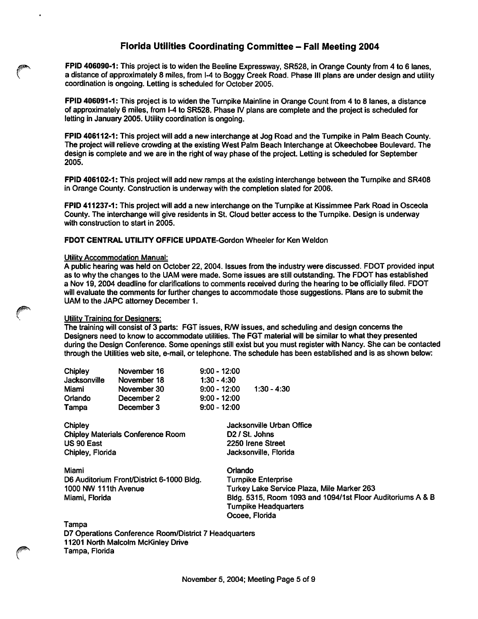FPID 406090-1: This project is to widen the Beeline Expressway, SR528, in Orange County from 4 to 6 lanes, a distance of approximately 8 miles, from 1-4 to Boggy Creek Road. Phase III plans are under design and utility coordination is ongoing. Letting is scheduled for October 2005.

FPID 406091-1: This project is to widen the Turnpike Mainline in Orange Count from 4 to 8 lanes, a distance of approximately 6 miles, from 1-4 to SR528. Phase IV plans are complete and the project is scheduled for letting in January 2005. Utility coordination is ongoing.

FPID 406112-1: This project will add a new interchange at Jog Road and the Turnpike in Palm Beach County. The project will relieve crowding at the existing West Palm Beach Interchange at Okeechobee Boulevard. The design is complete and we are in the right of way phase of the project. Letting is scheduled for September 2005.

FPID 406102-1: This project will add new ramps at the existing interchange between the Turnpike and SR408 in Orange County. Construction is underway with the completion slated for 2006.

FPID 411237-1: This project will add a new interchange on the Turnpike at Kisslmmee Park Road in Osceola County. The interchange will give residents in St. Cloud better access to the Turnpike. Design is underway with construction to start in 2005.

FDOT CENTRAL UTILITY OFFICE UPDATE-Gordon Wheeler for Ken Weldon

#### Utilitv Accommodation Manual:

A public hearing was held on October 22, 2004. Issues from the industry were discussed. FDOT provided input as to why the changes to the UAM were made. Some issues are still outstanding. The FDOT has established a Nov 19,2004 deadline for clarifications to comments received during the hearing to be officially filed. FDOT will evaluate the comments for further changes to accommodate those suggestions. Plans are to submit the UAM to the JAPC attorney December 1.

#### Utility Training for Designers:

The training will consist of 3 parts: FGT issues, R/W issues, and scheduling and design concerns the Designers need to know to accommodate utilities. The FGT material will be similar to what they presented during the Design Conference. Some openings still exist but you must register with Nancy. She can be contacted through the Utilities web site, e-mail, or telephone. The schedule has been established and is as shown below:

| Chipley      | November 16 | $9:00 - 12:00$ |               |
|--------------|-------------|----------------|---------------|
| Jacksonville | November 18 | $1:30 - 4:30$  |               |
| Miami        | November 30 | $9:00 - 12:00$ | $1:30 - 4:30$ |
| Orlando      | December 2  | $9:00 - 12:00$ |               |
| Tampa        | December 3  | $9:00 - 12:00$ |               |

| Chipley                                   | Jacksonville Urban Office                                  |  |
|-------------------------------------------|------------------------------------------------------------|--|
| <b>Chipley Materials Conference Room</b>  | D <sub>2</sub> / St. Johns                                 |  |
| US 90 East                                | 2250 Irene Street                                          |  |
| Chipley, Florida                          | Jacksonville, Florida                                      |  |
| Miami                                     | Orlando                                                    |  |
| D6 Auditorium Front/District 6-1000 Bldg. | <b>Turnpike Enterprise</b>                                 |  |
| 1000 NW 111th Avenue                      | Turkey Lake Service Plaza, Mile Marker 263                 |  |
| Miami, Florida                            | Bldg. 5315, Room 1093 and 1094/1st Floor Auditoriums A & B |  |
|                                           | <b>Turnpike Headquarters</b>                               |  |
|                                           | Ocoee, Florida                                             |  |
|                                           |                                                            |  |

Tampa

D7 Operations Conference Room/District 7 Headquarters 11201 North Malcolm McKinley Drive Tampa, Florida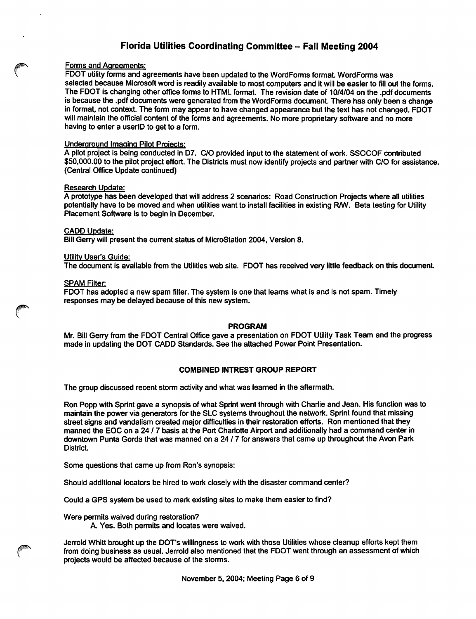#### Forms and Agreements:

FDOT utility forms and agreements have been updated to the WordForms format. WordForms was selected because Microsoft word is readily available to most computers and it will be easier to fill out the forms. The FOOT is changing other office forms to HTML format. The revision date of 10/4/04 on the .pdf documents is because the .pdf documents were generated from the WordForms document. There has only been a change in format, not context. The form may appear to have changed appearance but the text has not changed. FDOT will maintain the official content of the forms and agreements. No more proprietary software and no more having to enter a userlD to get to a form.

#### **Underground Imaging Pilot Projects:**

A pilot project is being conducted in D7. C/0 provided input to the statement of work. SSOCOF contributed \$50,000.00 to the pilot project effort. The Districts must now identify projects and partner with C/0 for assistance. (Central Office Update continued)

#### Research Update:

A prototype has been developed that will address 2 scenarios: Road Construction Projects where all utilities potentially have to be moved and when utilities want to install facilities in existing R/W. Beta testing for Utility Placement Software is to begin in December.

#### CADD Update:

Bill Gerry will present the current status of MicroStation 2004, Version 8.

#### Utility User's Guide:

The document is available from the Utilities web site. FDOT has received very little feedback on this document.

#### SPAM Filter:

FDOT has adopted a new spam filter. The system is one that leams what is and is not spam. Timely responses may be delayed because of this new system.

#### PROGRAM

Mr. Bill Gerry from the FDOT Central Office gave a presentation on FDOT Utility Task Team and the progress made in updating the DOT CADD Standards. See the attached Power Point Presentation.

#### COMBINED INTREST GROUP REPORT

The group discussed recent storm activity and what was learned in the aftermath.

Ron Popp with Sprint gave a synopsis of what Sprint went through with Charlie and Jean. His function was to maintain the power via generators for the SLC systems throughout the network. Sprint found that missing street signs and vandalism created major difficulties in their restoration efforts. Ron mentioned that they manned the EOC on a 24 / 7 basis at the Port Charlotte Airport and additionally had a command center in downtown Punta Gorda that was manned on a 24 / 7 for answers that came up throughout the Avon Park District.

Some questions that came up from Ron's synopsis:

Should additional locators be hired to work closely with the disaster command center?

Could a GPS system be used to mark existing sites to make them easier to find?

Were permits waived during restoration?

A. Yes. Both permits and locates were waived.

Jerrold Whitt brought up the DOT'S willingness to work with those Utilities whose cleanup efforts kept them from doing business as usual. Jerrold also mentioned that the FDOT went through an assessment of which projects would be affected because of the storms.

November 5,2004; Meeting Page 6 of 9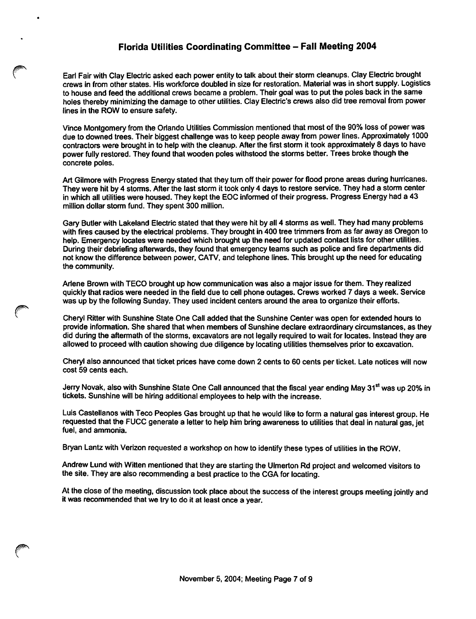Earl Fair with Clay Electric asked each power entity to talk about their storm cleanups. Giay Electric brought crews in from other states. His workforce doubled in size for restoration. Material was in short supply. Logistics to house and feed the additional crews became a problem. Their goal was to put the poles back in the same holes thereby minimizing the damage to other utilities. Clay Electric's crews also did tree removal from power lines in the ROW to ensure safety.

Vince Montgomery from the Orlando Utilities Commission mentioned that most of the 90% loss of power was due to downed trees. Their biggest challenge was to keep people away from power lines. Approximately 1000 contractors were brought in to help with the cleanup. After the first storm it took approximately 8 days to have power fully restored. They found that wooden poles withstood the storms better. Trees broke though the concrete poles.

Art Gilmore with Progress Energy stated that they turn off their power for flood prone areas during hurricanes. They were hit by 4 storms. After the last storm it took only 4 days to restore service. They had a storm center in which all utilities were housed. They kept the EOC informed of their progress. Progress Energy had a 43 million dollar storm fund. They spent 300 million.

Gary Butler with Lakeland Electric stated that they were hit by all 4 storms as well. They had many problems with fires caused by the electrical problems. They brought in 400 tree trimmers from as far away as Oregon to help. Emergency locates were needed which brought up the need for updated contact lists for other utilities. During their debriefing afterwards, they found that emergency teams such as police and fire departments did not know the difference between power, CATV, and telephone lines. This brought up the need for educating the community.

Ariene Brown with TECO brought up how communication was also a major issue for them. They realized quickly that radios were needed in the field due to cell phone outages. Crews worked 7 days a week. Service was up by the following Sunday. They used incident centers around the area to organize their efforts.

Cheryl Ritter with Sunshine State One Call added that the Sunshine Center was open for extended hours to provide information. She shared that when members of Sunshine declare extraordinary circumstances, as they did during the aftermath of the storms, excavators are not legally required to wait for locates. Instead they are allowed to proceed with caution showing due diligence by locating utilities themselves prior to excavation.

Cheryl also announced that ticket prices have come down 2 cents to 60 cents per ticket. Late notices will now cost 59 cents each.

Jerry Novak, also with Sunshine State One Call announced that the fiscal year ending May 31<sup>st</sup> was up 20% in tickets. Sunshine will be hiring additional employees to help with the increase.

Luis Castellanos with Teco Peoples Gas brought up that he would like to form a natural gas interest group. He requested that the FUCC generate a letter to help him bring awareness to utilities that deal in natural gas, jet fuel, and ammonia.

Bryan Lantz with Verizon requested a workshop on how to identify these types of utilities in the ROW.

Andrew Lund with Witten mentioned that they are starting the Ulmerton Rd project and welcomed visitors to the site. They are also recommending a best practice to the CGA for locating.

At the close of the meeting, discussion took place about the success of the interest groups meeting jointly and it was recommended that we try to do it at least once a year.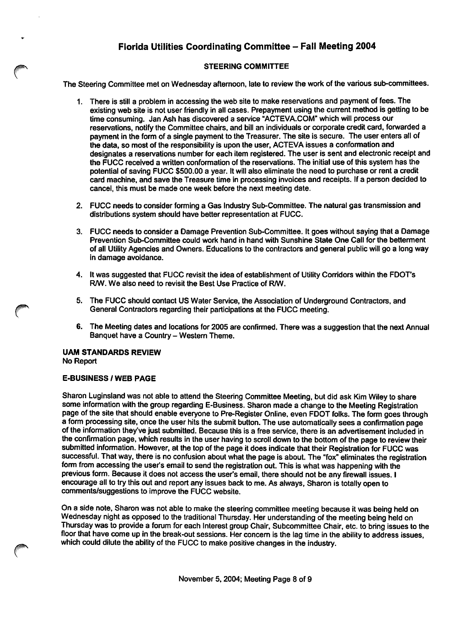#### STEERING COMMITTEE

The Steering Committee met on Wednesday afternoon, late to review the work of the various sub-committees.

- 1. There is stili a problem in accessing the web site to make reservations and payment of fees. The existing web site is not user friendly in all cases. Prepayment using the current method is getting to be time consuming. Jan Ash has discovered a service 'ACTEVA.COM" which will process our reservations, notify the Committee chairs, and bill an individuals or corporate credit card, forwarded a payment in the form of a single payment to the Treasurer. The site is secure. The user enters all of the data, so most of the responsibility is upon the user, ACTEVA issues a conformation and designates a reservations number for each item registered. The user is sent and electronic receipt and the FUCC received a written conformation of the reservations. The initial use of this system has the potential of saving FUCC \$500.00 a year. It will also eliminate the need to purchase or rent a credit card machine, and save the Treasure time in processing invoices and receipts. If a person decided to cancel, this must be made one week before the next meeting date.
- 2. FUCC needs to consider forming a Gas industry Sub-Committee. The natural gas transmission and distributions system should have better representation at FUCC.
- 3. FUCC needs to consider a Damage Prevention Sub-Committee. It goes without saying that a Damage Prevention Sub-Committee could work hand in hand with Sunshine State One Call for the betterment of all Utility Agencies and Owners. Educations to the contractors and general public will go a long way in damage avoidance.
- 4. It was suggested that FUCC revisit the idea of establishment of Utility Com'dors within the FDOT's RM. We also need to revisit the Best Use Practice of RM.
- 5. The FUCC should contact US Water Service, the Association of Underground Contractors, and General Contractors regarding their participations at the FUCC meeting.
- 6. The Meeting dates and locations for 2005 are confirmed. There was a suggestion that the next Annual Banquet have a Country - Western Theme.

#### UAM STANDARDS REVIEW No Report

#### E-BUSINESS / WEB PAGE

Sharon Luginsland was not able to attend the Steering Committee Meeting, but did ask Kim Wiley to share some information with the group regarding E-Business. Sharon made a change to the Meeting Registration page of the site that should enable everyone to Pre-Register Online, even FDOT folks. The form goes through a form processing site, once the user hits the submit button. The use automatically sees a confirmation page of the information they've just submitted. Because this is a free service, there is an advertisement included in the confirmation page, which results in the user having to scroll down to the bottom of the page to review their submitted information. However, at the top of the page it does indicate that their Registration for FUCC was successful. That way, there is no confusion about what the page is about. The "fox" eliminates the registration form from accessing the user's email to send the registration out. This is what was happening with the previous form. Because it does not access the user's email, there should not be any firewall issues. I encourage all to try this out and report any issues back to me. As always, Sharon is totally open to comments/suggestions to improve the FUCC website.

On a side note, Sharon was not able to make the steering committee meeting because it was being held on Wednesday night as opposed to the traditional Thursday. Her understanding of the meeting being held on Thursday was to provide a forum for each Interest group Chair, Subcommittee Chair, etc. to bring issues to the floor that have come up in the break-out sessions. Her concern is the lag time in the ability to address issues, which could dilute the ability of the FUCC to make positive changes in the industry.